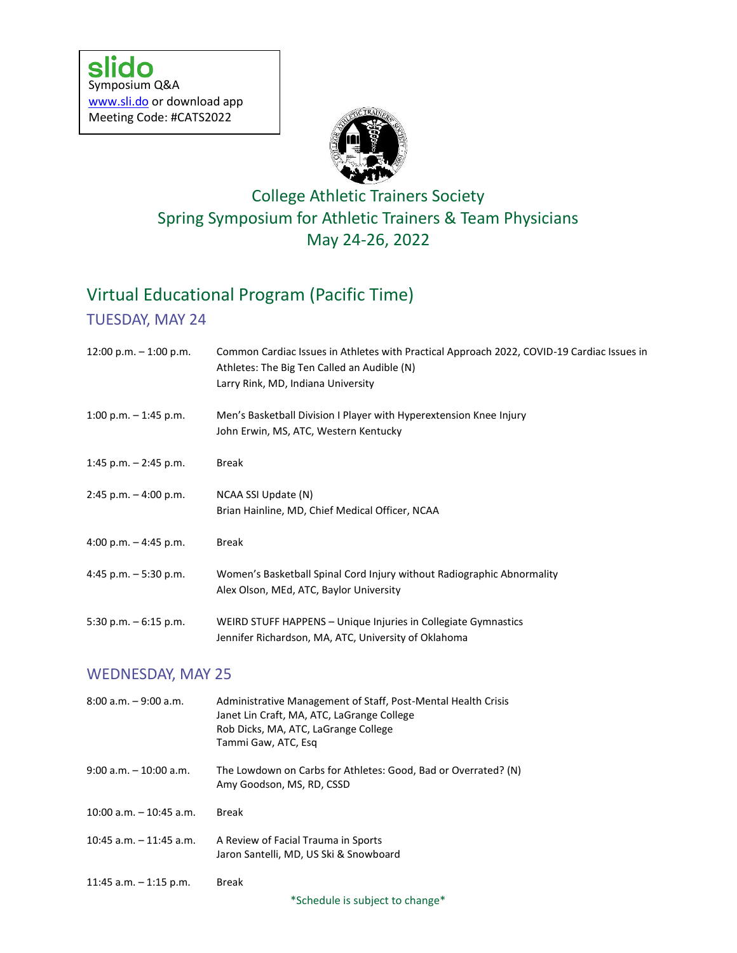

## College Athletic Trainers Society Spring Symposium for Athletic Trainers & Team Physicians May 24-26, 2022

# Virtual Educational Program (Pacific Time)

### TUESDAY, MAY 24

| 12:00 p.m. $-$ 1:00 p.m. | Common Cardiac Issues in Athletes with Practical Approach 2022, COVID-19 Cardiac Issues in<br>Athletes: The Big Ten Called an Audible (N)<br>Larry Rink, MD, Indiana University |  |
|--------------------------|---------------------------------------------------------------------------------------------------------------------------------------------------------------------------------|--|
| $1:00$ p.m. $-1:45$ p.m. | Men's Basketball Division I Player with Hyperextension Knee Injury<br>John Erwin, MS, ATC, Western Kentucky                                                                     |  |
| 1:45 p.m. $-$ 2:45 p.m.  | <b>Break</b>                                                                                                                                                                    |  |
| $2:45$ p.m. $-4:00$ p.m. | NCAA SSI Update (N)<br>Brian Hainline, MD, Chief Medical Officer, NCAA                                                                                                          |  |
| 4:00 p.m. $-$ 4:45 p.m.  | <b>Break</b>                                                                                                                                                                    |  |
| 4:45 p.m. $-5:30$ p.m.   | Women's Basketball Spinal Cord Injury without Radiographic Abnormality<br>Alex Olson, MEd, ATC, Baylor University                                                               |  |
| 5:30 p.m. $-6:15$ p.m.   | WEIRD STUFF HAPPENS - Unique Injuries in Collegiate Gymnastics<br>Jennifer Richardson, MA, ATC, University of Oklahoma                                                          |  |
| <b>WEDNESDAY, MAY 25</b> |                                                                                                                                                                                 |  |
| $8:00$ a.m. $-9:00$ a.m. | Administrative Management of Staff, Post-Mental Health Crisis<br>Janet Lin Craft, MA, ATC, LaGrange College<br>Rob Dicks, MA, ATC, LaGrange College<br>Tammi Gaw, ATC, Esg      |  |

9:00 a.m. – 10:00 a.m. The Lowdown on Carbs for Athletes: Good, Bad or Overrated? (N) Amy Goodson, MS, RD, CSSD

10:00 a.m. – 10:45 a.m. Break

- 10:45 a.m. 11:45 a.m. A Review of Facial Trauma in Sports Jaron Santelli, MD, US Ski & Snowboard
- 11:45 a.m. 1:15 p.m. Break